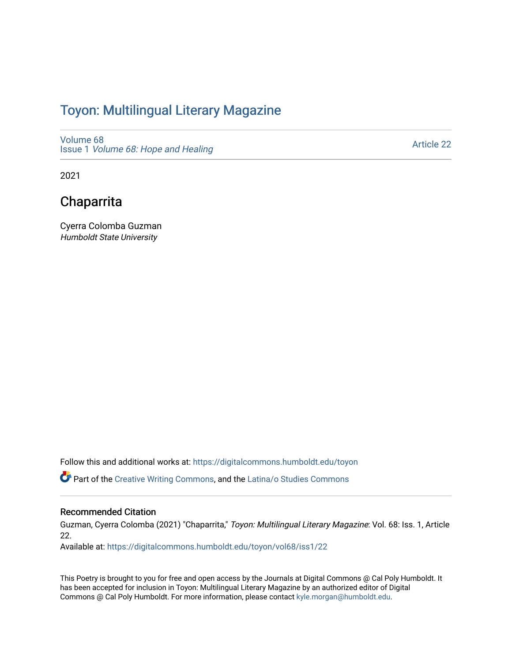## Toyon: Multilingual Literar[y](https://digitalcommons.humboldt.edu/toyon) Magazine

[Volume 68](https://digitalcommons.humboldt.edu/toyon/vol68) Issue 1 [Volume 68: Hope and Healing](https://digitalcommons.humboldt.edu/toyon/vol68/iss1) 

[Article 22](https://digitalcommons.humboldt.edu/toyon/vol68/iss1/22) 

2021

## Chaparrita

Cyerra Colomba Guzman Humboldt State University

Follow this and additional works at: [https://digitalcommons.humboldt.edu/toyon](https://digitalcommons.humboldt.edu/toyon?utm_source=digitalcommons.humboldt.edu%2Ftoyon%2Fvol68%2Fiss1%2F22&utm_medium=PDF&utm_campaign=PDFCoverPages)

Part of the [Creative Writing Commons](http://network.bepress.com/hgg/discipline/574?utm_source=digitalcommons.humboldt.edu%2Ftoyon%2Fvol68%2Fiss1%2F22&utm_medium=PDF&utm_campaign=PDFCoverPages), and the [Latina/o Studies Commons](http://network.bepress.com/hgg/discipline/1315?utm_source=digitalcommons.humboldt.edu%2Ftoyon%2Fvol68%2Fiss1%2F22&utm_medium=PDF&utm_campaign=PDFCoverPages) 

#### Recommended Citation

Guzman, Cyerra Colomba (2021) "Chaparrita," Toyon: Multilingual Literary Magazine: Vol. 68: Iss. 1, Article 22.

Available at: [https://digitalcommons.humboldt.edu/toyon/vol68/iss1/22](https://digitalcommons.humboldt.edu/toyon/vol68/iss1/22?utm_source=digitalcommons.humboldt.edu%2Ftoyon%2Fvol68%2Fiss1%2F22&utm_medium=PDF&utm_campaign=PDFCoverPages) 

This Poetry is brought to you for free and open access by the Journals at Digital Commons @ Cal Poly Humboldt. It has been accepted for inclusion in Toyon: Multilingual Literary Magazine by an authorized editor of Digital Commons @ Cal Poly Humboldt. For more information, please contact [kyle.morgan@humboldt.edu](mailto:kyle.morgan@humboldt.edu).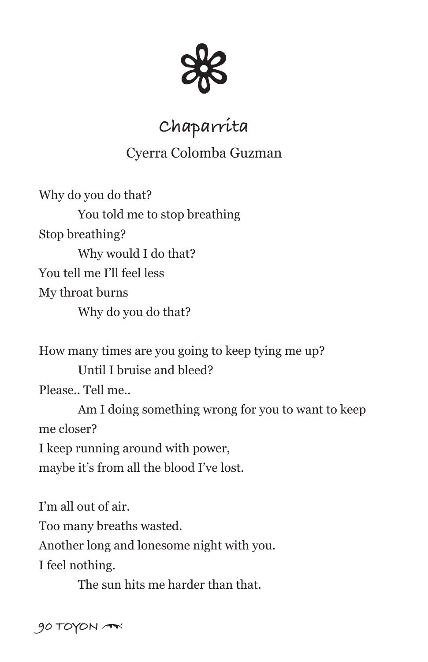

# **Chaparrita**

### Cyerra Colomba Guzman

Why do you do that? You told me to stop breathing Stop breathing? Why would I do that? You tell me I'll feel less My throat burns Why do you do that?

How many times are you going to keep tying me up? Until I bruise and bleed? Please.. Tell me.. Am I doing something wrong for you to want to keep me closer? I keep running around with power,

maybe it's from all the blood I've lost.

I'm all out of air.

Too many breaths wasted.

Another long and lonesome night with you.

I feel nothing.

The sun hits me harder than that.

90 TOYON